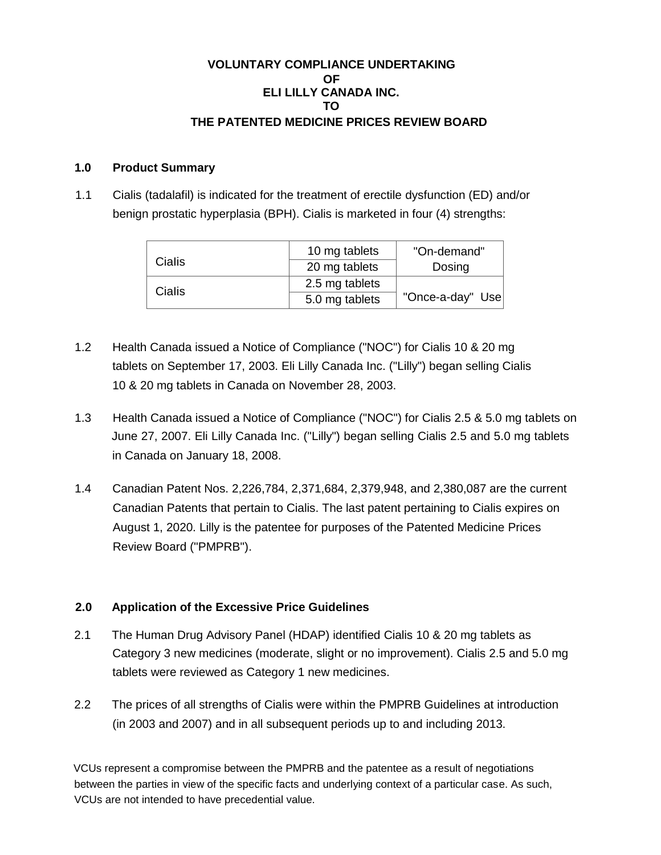## **VOLUNTARY COMPLIANCE UNDERTAKING OF ELI LILLY CANADA INC. TO THE PATENTED MEDICINE PRICES REVIEW BOARD**

### **1.0 Product Summary**

1.1 Cialis (tadalafil) is indicated for the treatment of erectile dysfunction (ED) and/or benign prostatic hyperplasia (BPH). Cialis is marketed in four (4) strengths:

|        | 10 mg tablets  | "On-demand"      |
|--------|----------------|------------------|
| Cialis | 20 mg tablets  | Dosing           |
| Cialis | 2.5 mg tablets |                  |
|        | 5.0 mg tablets | "Once-a-day" Use |

- 1.2 Health Canada issued a Notice of Compliance ("NOC") for Cialis 10 & 20 mg tablets on September 17, 2003. Eli Lilly Canada Inc. ("Lilly") began selling Cialis 10 & 20 mg tablets in Canada on November 28, 2003.
- 1.3 Health Canada issued a Notice of Compliance ("NOC") for Cialis 2.5 & 5.0 mg tablets on June 27, 2007. Eli Lilly Canada Inc. ("Lilly") began selling Cialis 2.5 and 5.0 mg tablets in Canada on January 18, 2008.
- 1.4 Canadian Patent Nos. 2,226,784, 2,371,684, 2,379,948, and 2,380,087 are the current Canadian Patents that pertain to Cialis. The last patent pertaining to Cialis expires on August 1, 2020. Lilly is the patentee for purposes of the Patented Medicine Prices Review Board ("PMPRB").

### **2.0 Application of the Excessive Price Guidelines**

- 2.1 The Human Drug Advisory Panel (HDAP) identified Cialis 10 & 20 mg tablets as Category 3 new medicines (moderate, slight or no improvement). Cialis 2.5 and 5.0 mg tablets were reviewed as Category 1 new medicines.
- 2.2 The prices of all strengths of Cialis were within the PMPRB Guidelines at introduction (in 2003 and 2007) and in all subsequent periods up to and including 2013.

VCUs represent a compromise between the PMPRB and the patentee as a result of negotiations between the parties in view of the specific facts and underlying context of a particular case. As such, VCUs are not intended to have precedential value.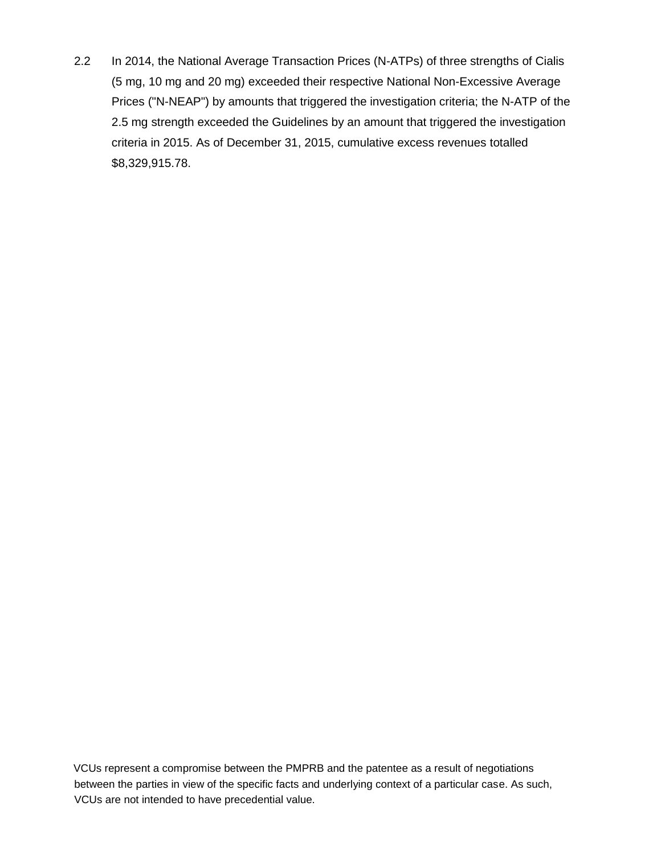2.2 In 2014, the National Average Transaction Prices (N-ATPs) of three strengths of Cialis (5 mg, 10 mg and 20 mg) exceeded their respective National Non-Excessive Average Prices ("N-NEAP") by amounts that triggered the investigation criteria; the N-ATP of the 2.5 mg strength exceeded the Guidelines by an amount that triggered the investigation criteria in 2015. As of December 31, 2015, cumulative excess revenues totalled \$8,329,915.78.

VCUs represent a compromise between the PMPRB and the patentee as a result of negotiations between the parties in view of the specific facts and underlying context of a particular case. As such, VCUs are not intended to have precedential value.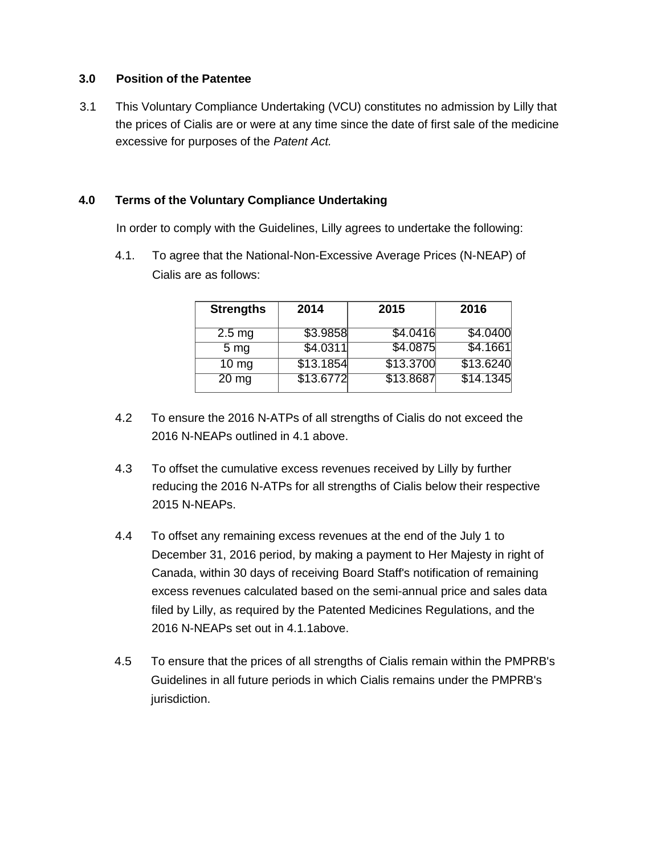#### **3.0 Position of the Patentee**

3.1 This Voluntary Compliance Undertaking (VCU) constitutes no admission by Lilly that the prices of Cialis are or were at any time since the date of first sale of the medicine excessive for purposes of the *Patent Act.*

# **4.0 Terms of the Voluntary Compliance Undertaking**

In order to comply with the Guidelines, Lilly agrees to undertake the following:

4.1. To agree that the National-Non-Excessive Average Prices (N-NEAP) of Cialis are as follows:

| <b>Strengths</b> | 2014      | 2015      | 2016      |
|------------------|-----------|-----------|-----------|
| $2.5 \text{ mg}$ | \$3.9858  | \$4.0416  | \$4.0400  |
| 5 <sub>mg</sub>  | \$4.0311  | \$4.0875  | \$4.1661  |
| $10 \text{ mg}$  | \$13.1854 | \$13.3700 | \$13.6240 |
| $20 \, mg$       | \$13.6772 | \$13.8687 | \$14.1345 |

- 4.2 To ensure the 2016 N-ATPs of all strengths of Cialis do not exceed the 2016 N-NEAPs outlined in 4.1 above.
- 4.3 To offset the cumulative excess revenues received by Lilly by further reducing the 2016 N-ATPs for all strengths of Cialis below their respective 2015 N-NEAPs.
- 4.4 To offset any remaining excess revenues at the end of the July 1 to December 31, 2016 period, by making a payment to Her Majesty in right of Canada, within 30 days of receiving Board Staff's notification of remaining excess revenues calculated based on the semi-annual price and sales data filed by Lilly, as required by the Patented Medicines Regulations, and the 2016 N-NEAPs set out in 4.1.1above.
- 4.5 To ensure that the prices of all strengths of Cialis remain within the PMPRB's Guidelines in all future periods in which Cialis remains under the PMPRB's jurisdiction.